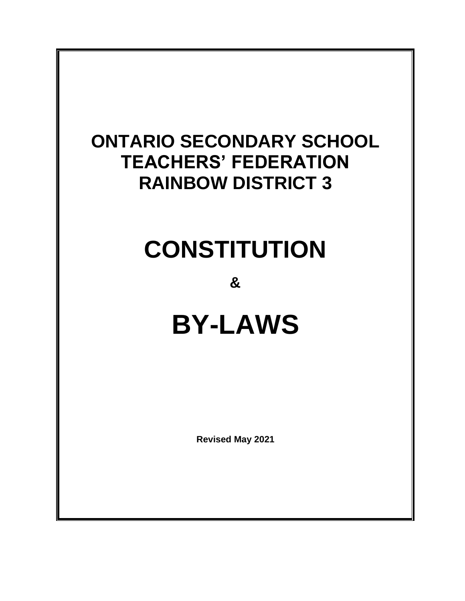# **ONTARIO SECONDARY SCHOOL TEACHERS' FEDERATION RAINBOW DISTRICT 3**

# **CONSTITUTION**

**&**

# **BY-LAWS**

**Revised May 2021**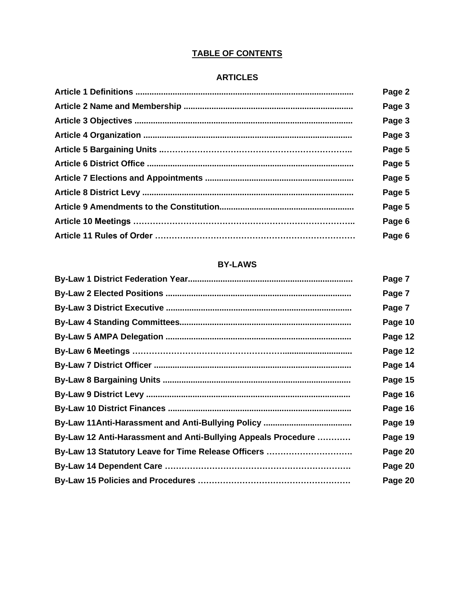# **TABLE OF CONTENTS**

# **ARTICLES**

| Page 2 |
|--------|
| Page 3 |
| Page 3 |
| Page 3 |
| Page 5 |
| Page 5 |
| Page 5 |
| Page 5 |
| Page 5 |
| Page 6 |
| Page 6 |

# **BY-LAWS**

|                                                               | Page 7  |
|---------------------------------------------------------------|---------|
|                                                               | Page 7  |
|                                                               | Page 7  |
|                                                               | Page 10 |
|                                                               | Page 12 |
|                                                               | Page 12 |
|                                                               | Page 14 |
|                                                               | Page 15 |
|                                                               | Page 16 |
|                                                               | Page 16 |
|                                                               | Page 19 |
| By-Law 12 Anti-Harassment and Anti-Bullying Appeals Procedure | Page 19 |
| By-Law 13 Statutory Leave for Time Release Officers           | Page 20 |
|                                                               | Page 20 |
|                                                               | Page 20 |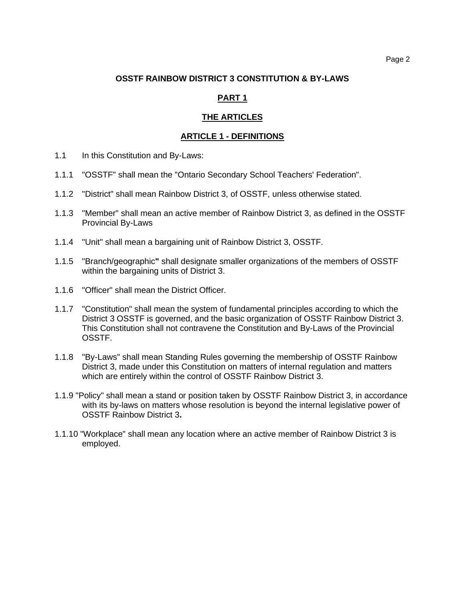#### **OSSTF RAINBOW DISTRICT 3 CONSTITUTION & BY-LAWS**

#### **PART 1**

#### **THE ARTICLES**

#### **ARTICLE 1 - DEFINITIONS**

- 1.1 In this Constitution and By-Laws:
- 1.1.1 "OSSTF" shall mean the "Ontario Secondary School Teachers' Federation".
- 1.1.2 "District" shall mean Rainbow District 3, of OSSTF, unless otherwise stated.
- 1.1.3 "Member" shall mean an active member of Rainbow District 3, as defined in the OSSTF Provincial By-Laws
- 1.1.4 "Unit" shall mean a bargaining unit of Rainbow District 3, OSSTF.
- 1.1.5 "Branch/geographic**"** shall designate smaller organizations of the members of OSSTF within the bargaining units of District 3.
- 1.1.6 "Officer" shall mean the District Officer.
- 1.1.7 "Constitution" shall mean the system of fundamental principles according to which the District 3 OSSTF is governed, and the basic organization of OSSTF Rainbow District 3. This Constitution shall not contravene the Constitution and By-Laws of the Provincial OSSTF.
- 1.1.8 "By-Laws" shall mean Standing Rules governing the membership of OSSTF Rainbow District 3, made under this Constitution on matters of internal regulation and matters which are entirely within the control of OSSTF Rainbow District 3.
- 1.1.9 "Policy" shall mean a stand or position taken by OSSTF Rainbow District 3, in accordance with its by-laws on matters whose resolution is beyond the internal legislative power of OSSTF Rainbow District 3**.**
- 1.1.10 "Workplace" shall mean any location where an active member of Rainbow District 3 is employed.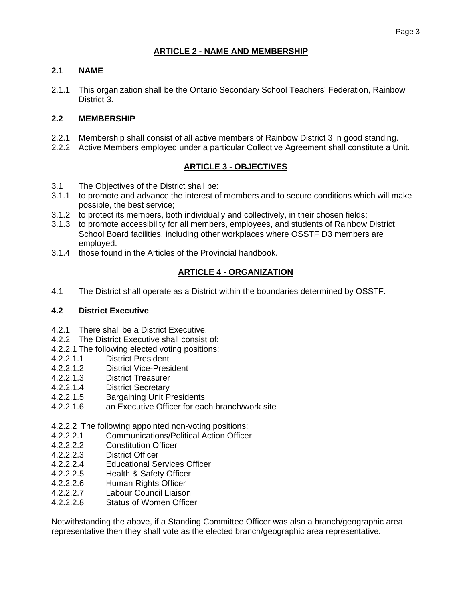# **2.1 NAME**

2.1.1 This organization shall be the Ontario Secondary School Teachers' Federation, Rainbow District 3.

# **2.2 MEMBERSHIP**

- 2.2.1 Membership shall consist of all active members of Rainbow District 3 in good standing.
- 2.2.2 Active Members employed under a particular Collective Agreement shall constitute a Unit.

# **ARTICLE 3 - OBJECTIVES**

- 3.1 The Objectives of the District shall be:
- 3.1.1 to promote and advance the interest of members and to secure conditions which will make possible, the best service;
- 3.1.2 to protect its members, both individually and collectively, in their chosen fields;
- 3.1.3 to promote accessibility for all members, employees, and students of Rainbow District School Board facilities, including other workplaces where OSSTF D3 members are employed.
- 3.1.4 those found in the Articles of the Provincial handbook.

# **ARTICLE 4 - ORGANIZATION**

4.1 The District shall operate as a District within the boundaries determined by OSSTF.

# **4.2 District Executive**

- 4.2.1 There shall be a District Executive.
- 4.2.2 The District Executive shall consist of:
- 4.2.2.1 The following elected voting positions:
- 4.2.2.1.1 District President<br>4.2.2.1.2 District Vice-Presi
- District Vice-President
- 4.2.2.1.3 District Treasurer
- 4.2.2.1.4 District Secretary
- 4.2.2.1.5 Bargaining Unit Presidents
- 4.2.2.1.6 an Executive Officer for each branch/work site

# 4.2.2.2 The following appointed non-voting positions:

- 4.2.2.2.1 Communications/Political Action Officer
- 4.2.2.2.2 Constitution Officer
- 4.2.2.2.3 District Officer
- 4.2.2.2.4 Educational Services Officer
- 4.2.2.2.5 Health & Safety Officer
- 4.2.2.2.6 Human Rights Officer
- 4.2.2.2.7 Labour Council Liaison
- 4.2.2.2.8 Status of Women Officer

Notwithstanding the above, if a Standing Committee Officer was also a branch/geographic area representative then they shall vote as the elected branch/geographic area representative.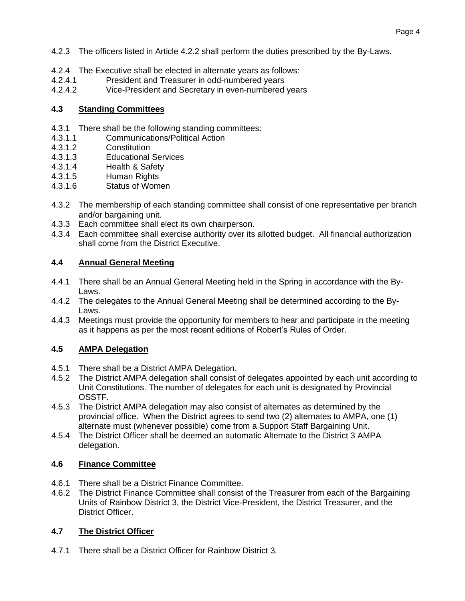- 4.2.3 The officers listed in Article 4.2.2 shall perform the duties prescribed by the By-Laws.
- 4.2.4 The Executive shall be elected in alternate years as follows:
- 4.2.4.1 President and Treasurer in odd-numbered years
- 4.2.4.2 Vice-President and Secretary in even-numbered years

### **4.3 Standing Committees**

- 4.3.1 There shall be the following standing committees:<br>4.3.1.1 Communications/Political Action
- 4.3.1.1 Communications/Political Action
- 4.3.1.2 Constitution
- 4.3.1.3 Educational Services
- 4.3.1.4 Health & Safety
- 4.3.1.5 Human Rights
- 4.3.1.6 Status of Women
- 4.3.2 The membership of each standing committee shall consist of one representative per branch and/or bargaining unit.
- 4.3.3 Each committee shall elect its own chairperson.
- 4.3.4 Each committee shall exercise authority over its allotted budget. All financial authorization shall come from the District Executive.

# **4.4 Annual General Meeting**

- 4.4.1 There shall be an Annual General Meeting held in the Spring in accordance with the By-Laws.
- 4.4.2 The delegates to the Annual General Meeting shall be determined according to the By-Laws.
- 4.4.3 Meetings must provide the opportunity for members to hear and participate in the meeting as it happens as per the most recent editions of Robert's Rules of Order.

# **4.5 AMPA Delegation**

- 4.5.1 There shall be a District AMPA Delegation.
- 4.5.2 The District AMPA delegation shall consist of delegates appointed by each unit according to Unit Constitutions. The number of delegates for each unit is designated by Provincial OSSTF.
- 4.5.3 The District AMPA delegation may also consist of alternates as determined by the provincial office. When the District agrees to send two (2) alternates to AMPA, one (1) alternate must (whenever possible) come from a Support Staff Bargaining Unit.
- 4.5.4 The District Officer shall be deemed an automatic Alternate to the District 3 AMPA delegation.

# **4.6 Finance Committee**

- 4.6.1 There shall be a District Finance Committee.
- 4.6.2 The District Finance Committee shall consist of the Treasurer from each of the Bargaining Units of Rainbow District 3, the District Vice-President, the District Treasurer, and the District Officer.

# **4.7 The District Officer**

4.7.1 There shall be a District Officer for Rainbow District 3.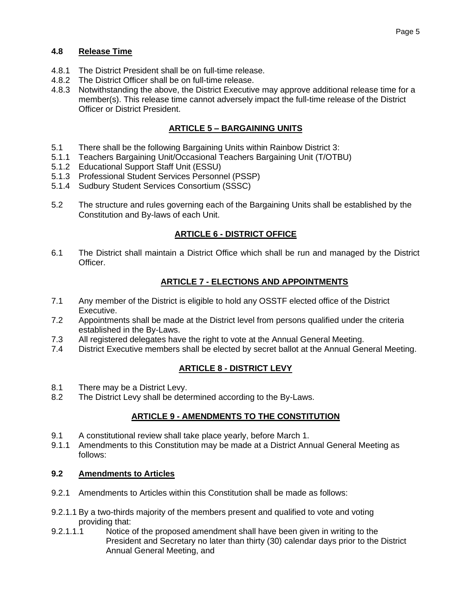# **4.8 Release Time**

- 4.8.1 The District President shall be on full-time release.
- 4.8.2 The District Officer shall be on full-time release.
- 4.8.3 Notwithstanding the above, the District Executive may approve additional release time for a member(s). This release time cannot adversely impact the full-time release of the District Officer or District President.

# **ARTICLE 5 – BARGAINING UNITS**

- 5.1 There shall be the following Bargaining Units within Rainbow District 3:
- 5.1.1 Teachers Bargaining Unit/Occasional Teachers Bargaining Unit (T/OTBU)
- 5.1.2 Educational Support Staff Unit (ESSU)
- 5.1.3 Professional Student Services Personnel (PSSP)
- 5.1.4 Sudbury Student Services Consortium (SSSC)
- 5.2 The structure and rules governing each of the Bargaining Units shall be established by the Constitution and By-laws of each Unit.

# **ARTICLE 6 - DISTRICT OFFICE**

6.1 The District shall maintain a District Office which shall be run and managed by the District Officer.

# **ARTICLE 7 - ELECTIONS AND APPOINTMENTS**

- 7.1 Any member of the District is eligible to hold any OSSTF elected office of the District Executive.
- 7.2 Appointments shall be made at the District level from persons qualified under the criteria established in the By-Laws.
- 7.3 All registered delegates have the right to vote at the Annual General Meeting.
- 7.4 District Executive members shall be elected by secret ballot at the Annual General Meeting.

# **ARTICLE 8 - DISTRICT LEVY**

- 8.1 There may be a District Levy.
- 8.2 The District Levy shall be determined according to the By-Laws.

# **ARTICLE 9 - AMENDMENTS TO THE CONSTITUTION**

- 9.1 A constitutional review shall take place yearly, before March 1.
- 9.1.1 Amendments to this Constitution may be made at a District Annual General Meeting as follows:

# **9.2 Amendments to Articles**

- 9.2.1 Amendments to Articles within this Constitution shall be made as follows:
- 9.2.1.1 By a two-thirds majority of the members present and qualified to vote and voting providing that:
- 9.2.1.1.1 Notice of the proposed amendment shall have been given in writing to the President and Secretary no later than thirty (30) calendar days prior to the District Annual General Meeting, and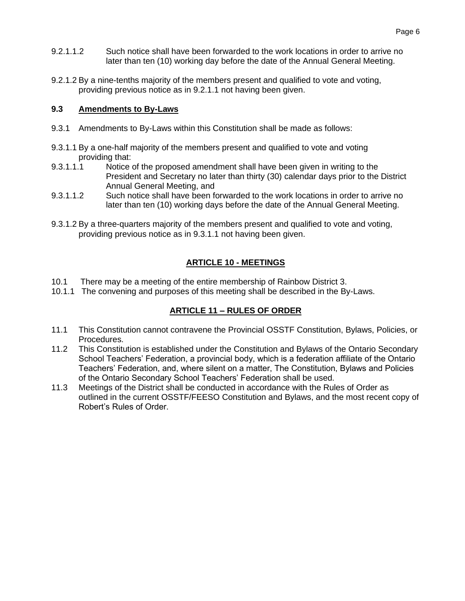- 9.2.1.1.2 Such notice shall have been forwarded to the work locations in order to arrive no later than ten (10) working day before the date of the Annual General Meeting.
- 9.2.1.2 By a nine-tenths majority of the members present and qualified to vote and voting, providing previous notice as in 9.2.1.1 not having been given.

#### **9.3 Amendments to By-Laws**

- 9.3.1 Amendments to By-Laws within this Constitution shall be made as follows:
- 9.3.1.1 By a one-half majority of the members present and qualified to vote and voting providing that:
- 9.3.1.1.1 Notice of the proposed amendment shall have been given in writing to the President and Secretary no later than thirty (30) calendar days prior to the District Annual General Meeting, and
- 9.3.1.1.2 Such notice shall have been forwarded to the work locations in order to arrive no later than ten (10) working days before the date of the Annual General Meeting.
- 9.3.1.2 By a three-quarters majority of the members present and qualified to vote and voting, providing previous notice as in 9.3.1.1 not having been given.

# **ARTICLE 10 - MEETINGS**

- 10.1 There may be a meeting of the entire membership of Rainbow District 3.
- 10.1.1 The convening and purposes of this meeting shall be described in the By-Laws.

# **ARTICLE 11 – RULES OF ORDER**

- 11.1 This Constitution cannot contravene the Provincial OSSTF Constitution, Bylaws, Policies, or Procedures.
- 11.2 This Constitution is established under the Constitution and Bylaws of the Ontario Secondary School Teachers' Federation, a provincial body, which is a federation affiliate of the Ontario Teachers' Federation, and, where silent on a matter, The Constitution, Bylaws and Policies of the Ontario Secondary School Teachers' Federation shall be used.
- 11.3 Meetings of the District shall be conducted in accordance with the Rules of Order as outlined in the current OSSTF/FEESO Constitution and Bylaws, and the most recent copy of Robert's Rules of Order.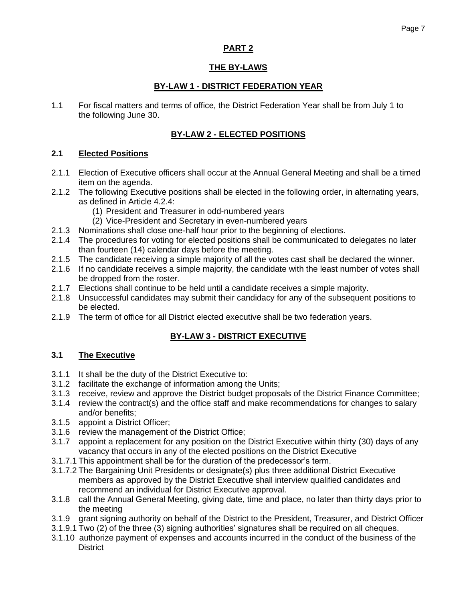# **PART 2**

# **THE BY-LAWS**

# **BY-LAW 1 - DISTRICT FEDERATION YEAR**

1.1 For fiscal matters and terms of office, the District Federation Year shall be from July 1 to the following June 30.

# **BY-LAW 2 - ELECTED POSITIONS**

#### **2.1 Elected Positions**

- 2.1.1 Election of Executive officers shall occur at the Annual General Meeting and shall be a timed item on the agenda.
- 2.1.2 The following Executive positions shall be elected in the following order, in alternating years, as defined in Article 4.2.4:
	- (1) President and Treasurer in odd-numbered years
	- (2) Vice-President and Secretary in even-numbered years
- 2.1.3 Nominations shall close one-half hour prior to the beginning of elections.
- 2.1.4 The procedures for voting for elected positions shall be communicated to delegates no later than fourteen (14) calendar days before the meeting.
- 2.1.5 The candidate receiving a simple majority of all the votes cast shall be declared the winner.
- 2.1.6 If no candidate receives a simple majority, the candidate with the least number of votes shall be dropped from the roster.
- 2.1.7 Elections shall continue to be held until a candidate receives a simple majority.
- 2.1.8 Unsuccessful candidates may submit their candidacy for any of the subsequent positions to be elected.
- 2.1.9 The term of office for all District elected executive shall be two federation years.

# **BY-LAW 3 - DISTRICT EXECUTIVE**

# **3.1 The Executive**

- 3.1.1 It shall be the duty of the District Executive to:
- 3.1.2 facilitate the exchange of information among the Units;
- 3.1.3 receive, review and approve the District budget proposals of the District Finance Committee;
- 3.1.4 review the contract(s) and the office staff and make recommendations for changes to salary and/or benefits;
- 3.1.5 appoint a District Officer;
- 3.1.6 review the management of the District Office;
- 3.1.7 appoint a replacement for any position on the District Executive within thirty (30) days of any vacancy that occurs in any of the elected positions on the District Executive
- 3.1.7.1 This appointment shall be for the duration of the predecessor's term.
- 3.1.7.2 The Bargaining Unit Presidents or designate(s) plus three additional District Executive members as approved by the District Executive shall interview qualified candidates and recommend an individual for District Executive approval.
- 3.1.8 call the Annual General Meeting, giving date, time and place, no later than thirty days prior to the meeting
- 3.1.9 grant signing authority on behalf of the District to the President, Treasurer, and District Officer
- 3.1.9.1 Two (2) of the three (3) signing authorities' signatures shall be required on all cheques.
- 3.1.10 authorize payment of expenses and accounts incurred in the conduct of the business of the **District**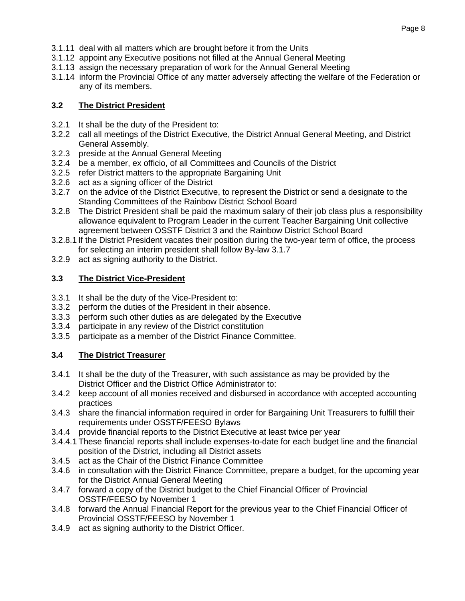- 3.1.11 deal with all matters which are brought before it from the Units
- 3.1.12 appoint any Executive positions not filled at the Annual General Meeting
- 3.1.13 assign the necessary preparation of work for the Annual General Meeting
- 3.1.14 inform the Provincial Office of any matter adversely affecting the welfare of the Federation or any of its members.

# **3.2 The District President**

- 3.2.1 It shall be the duty of the President to:
- 3.2.2 call all meetings of the District Executive, the District Annual General Meeting, and District General Assembly.
- 3.2.3 preside at the Annual General Meeting
- 3.2.4 be a member, ex officio, of all Committees and Councils of the District
- 3.2.5 refer District matters to the appropriate Bargaining Unit
- 3.2.6 act as a signing officer of the District
- 3.2.7 on the advice of the District Executive, to represent the District or send a designate to the Standing Committees of the Rainbow District School Board
- 3.2.8 The District President shall be paid the maximum salary of their job class plus a responsibility allowance equivalent to Program Leader in the current Teacher Bargaining Unit collective agreement between OSSTF District 3 and the Rainbow District School Board
- 3.2.8.1 If the District President vacates their position during the two-year term of office, the process for selecting an interim president shall follow By-law 3.1.7
- 3.2.9 act as signing authority to the District.

# **3.3 The District Vice-President**

- 3.3.1 It shall be the duty of the Vice-President to:
- 3.3.2 perform the duties of the President in their absence.
- 3.3.3 perform such other duties as are delegated by the Executive
- 3.3.4 participate in any review of the District constitution
- 3.3.5 participate as a member of the District Finance Committee.

# **3.4 The District Treasurer**

- 3.4.1 It shall be the duty of the Treasurer, with such assistance as may be provided by the District Officer and the District Office Administrator to:
- 3.4.2 keep account of all monies received and disbursed in accordance with accepted accounting practices
- 3.4.3 share the financial information required in order for Bargaining Unit Treasurers to fulfill their requirements under OSSTF/FEESO Bylaws
- 3.4.4 provide financial reports to the District Executive at least twice per year
- 3.4.4.1 These financial reports shall include expenses-to-date for each budget line and the financial position of the District, including all District assets
- 3.4.5 act as the Chair of the District Finance Committee
- 3.4.6 in consultation with the District Finance Committee, prepare a budget, for the upcoming year for the District Annual General Meeting
- 3.4.7 forward a copy of the District budget to the Chief Financial Officer of Provincial OSSTF/FEESO by November 1
- 3.4.8 forward the Annual Financial Report for the previous year to the Chief Financial Officer of Provincial OSSTF/FEESO by November 1
- 3.4.9 act as signing authority to the District Officer.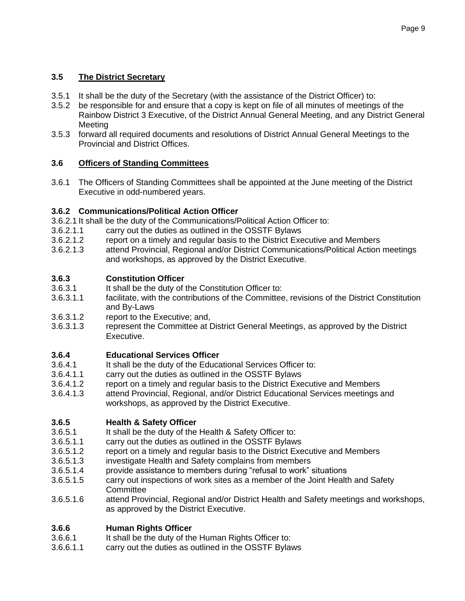# **3.5 The District Secretary**

- 3.5.1 It shall be the duty of the Secretary (with the assistance of the District Officer) to:
- 3.5.2 be responsible for and ensure that a copy is kept on file of all minutes of meetings of the Rainbow District 3 Executive, of the District Annual General Meeting, and any District General **Meeting**
- 3.5.3 forward all required documents and resolutions of District Annual General Meetings to the Provincial and District Offices.

# **3.6 Officers of Standing Committees**

3.6.1 The Officers of Standing Committees shall be appointed at the June meeting of the District Executive in odd-numbered years.

# **3.6.2 Communications/Political Action Officer**

- 3.6.2.1 It shall be the duty of the Communications/Political Action Officer to:
- 3.6.2.1.1 carry out the duties as outlined in the OSSTF Bylaws
- 3.6.2.1.2 report on a timely and regular basis to the District Executive and Members
- 3.6.2.1.3 attend Provincial, Regional and/or District Communications/Political Action meetings and workshops, as approved by the District Executive.

# **3.6.3 Constitution Officer**

- It shall be the duty of the Constitution Officer to:
- 3.6.3.1.1 facilitate, with the contributions of the Committee, revisions of the District Constitution and By-Laws
- 3.6.3.1.2 report to the Executive; and,
- 3.6.3.1.3 represent the Committee at District General Meetings, as approved by the District Executive.

# **3.6.4 Educational Services Officer**

- 3.6.4.1 It shall be the duty of the Educational Services Officer to:
- 3.6.4.1.1 carry out the duties as outlined in the OSSTF Bylaws
- 3.6.4.1.2 report on a timely and regular basis to the District Executive and Members
- 3.6.4.1.3 attend Provincial, Regional, and/or District Educational Services meetings and workshops, as approved by the District Executive.

# **3.6.5 Health & Safety Officer**

- 3.6.5.1 It shall be the duty of the Health & Safety Officer to:
- 3.6.5.1.1 carry out the duties as outlined in the OSSTF Bylaws
- 3.6.5.1.2 report on a timely and regular basis to the District Executive and Members
- 3.6.5.1.3 investigate Health and Safety complains from members
- 3.6.5.1.4 provide assistance to members during "refusal to work" situations
- 3.6.5.1.5 carry out inspections of work sites as a member of the Joint Health and Safety **Committee**
- 3.6.5.1.6 attend Provincial, Regional and/or District Health and Safety meetings and workshops, as approved by the District Executive.

# **3.6.6 Human Rights Officer**

- 3.6.6.1 It shall be the duty of the Human Rights Officer to:
- 3.6.6.1.1 carry out the duties as outlined in the OSSTF Bylaws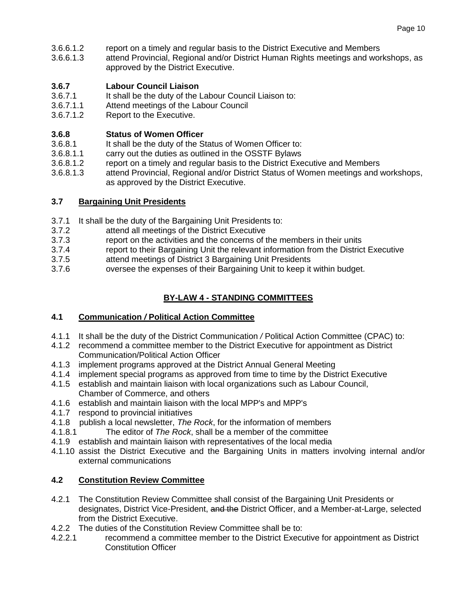- 3.6.6.1.2 report on a timely and regular basis to the District Executive and Members
- 3.6.6.1.3 attend Provincial, Regional and/or District Human Rights meetings and workshops, as approved by the District Executive.

#### **3.6.7 Labour Council Liaison**

- 3.6.7.1 It shall be the duty of the Labour Council Liaison to:
- 3.6.7.1.1 Attend meetings of the Labour Council
- 3.6.7.1.2 Report to the Executive.

#### **3.6.8 Status of Women Officer**

- 3.6.8.1 It shall be the duty of the Status of Women Officer to:
- 3.6.8.1.1 carry out the duties as outlined in the OSSTF Bylaws
- 3.6.8.1.2 report on a timely and regular basis to the District Executive and Members
- 3.6.8.1.3 attend Provincial, Regional and/or District Status of Women meetings and workshops, as approved by the District Executive.

#### **3.7 Bargaining Unit Presidents**

- 3.7.1 It shall be the duty of the Bargaining Unit Presidents to:
- 3.7.2 attend all meetings of the District Executive
- 3.7.3 report on the activities and the concerns of the members in their units
- 3.7.4 report to their Bargaining Unit the relevant information from the District Executive
- 3.7.5 attend meetings of District 3 Bargaining Unit Presidents
- 3.7.6 oversee the expenses of their Bargaining Unit to keep it within budget.

# **BY-LAW 4 - STANDING COMMITTEES**

#### **4.1 Communication** */* **Political Action Committee**

- 4.1.1 It shall be the duty of the District Communication */* Political Action Committee (CPAC) to:
- 4.1.2 recommend a committee member to the District Executive for appointment as District Communication/Political Action Officer
- 4.1.3 implement programs approved at the District Annual General Meeting
- 4.1.4 implement special programs as approved from time to time by the District Executive
- 4.1.5 establish and maintain liaison with local organizations such as Labour Council, Chamber of Commerce, and others
- 4.1.6 establish and maintain liaison with the local MPP's and MPP's
- 4.1.7 respond to provincial initiatives
- 4.1.8 publish a local newsletter, *The Rock*, for the information of members
- 4.1.8.1 The editor of *The Rock*, shall be a member of the committee
- 4.1.9 establish and maintain liaison with representatives of the local media
- 4.1.10 assist the District Executive and the Bargaining Units in matters involving internal and/or external communications

#### **4.2 Constitution Review Committee**

- 4.2.1 The Constitution Review Committee shall consist of the Bargaining Unit Presidents or designates, District Vice-President, and the District Officer, and a Member-at-Large, selected from the District Executive.
- 4.2.2 The duties of the Constitution Review Committee shall be to:
- 4.2.2.1 recommend a committee member to the District Executive for appointment as District Constitution Officer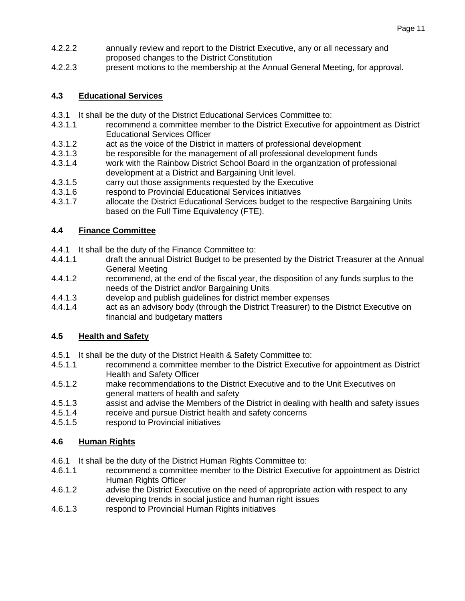- 4.2.2.2 annually review and report to the District Executive, any or all necessary and proposed changes to the District Constitution
- 4.2.2.3 present motions to the membership at the Annual General Meeting, for approval.

# **4.3 Educational Services**

- 4.3.1 It shall be the duty of the District Educational Services Committee to:
- 4.3.1.1 recommend a committee member to the District Executive for appointment as District Educational Services Officer
- 4.3.1.2 act as the voice of the District in matters of professional development
- 4.3.1.3 be responsible for the management of all professional development funds
- 4.3.1.4 work with the Rainbow District School Board in the organization of professional development at a District and Bargaining Unit level.
- 4.3.1.5 carry out those assignments requested by the Executive
- 4.3.1.6 respond to Provincial Educational Services initiatives
- 4.3.1.7 allocate the District Educational Services budget to the respective Bargaining Units based on the Full Time Equivalency (FTE).

# **4.4 Finance Committee**

- 4.4.1 It shall be the duty of the Finance Committee to:
- 4.4.1.1 draft the annual District Budget to be presented by the District Treasurer at the Annual General Meeting
- 4.4.1.2 recommend, at the end of the fiscal year, the disposition of any funds surplus to the needs of the District and/or Bargaining Units
- 4.4.1.3 develop and publish guidelines for district member expenses
- 4.4.1.4 act as an advisory body (through the District Treasurer) to the District Executive on financial and budgetary matters

# **4.5 Health and Safety**

- 4.5.1 It shall be the duty of the District Health & Safety Committee to:
- 4.5.1.1 recommend a committee member to the District Executive for appointment as District Health and Safety Officer
- 4.5.1.2 make recommendations to the District Executive and to the Unit Executives on general matters of health and safety
- 4.5.1.3 assist and advise the Members of the District in dealing with health and safety issues
- 4.5.1.4 receive and pursue District health and safety concerns
- 4.5.1.5 respond to Provincial initiatives

# **4.6 Human Rights**

- 4.6.1 It shall be the duty of the District Human Rights Committee to:
- 4.6.1.1 recommend a committee member to the District Executive for appointment as District Human Rights Officer
- 4.6.1.2 advise the District Executive on the need of appropriate action with respect to any developing trends in social justice and human right issues
- 4.6.1.3 respond to Provincial Human Rights initiatives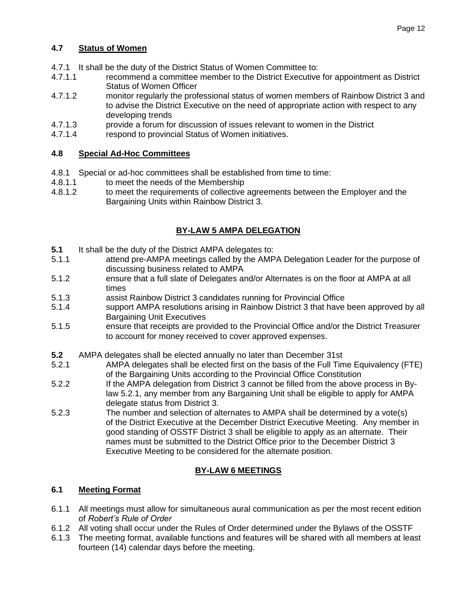# **4.7 Status of Women**

- 4.7.1 It shall be the duty of the District Status of Women Committee to:
- 4.7.1.1 recommend a committee member to the District Executive for appointment as District Status of Women Officer
- 4.7.1.2 monitor regularly the professional status of women members of Rainbow District 3 and to advise the District Executive on the need of appropriate action with respect to any developing trends
- 4.7.1.3 provide a forum for discussion of issues relevant to women in the District
- 4.7.1.4 respond to provincial Status of Women initiatives.

#### **4.8 Special Ad-Hoc Committees**

- 4.8.1 Special or ad-hoc committees shall be established from time to time:
- 4.8.1.1 to meet the needs of the Membership
- 4.8.1.2 to meet the requirements of collective agreements between the Employer and the Bargaining Units within Rainbow District 3.

# **BY-LAW 5 AMPA DELEGATION**

- **5.1** It shall be the duty of the District AMPA delegates to:
- 5.1.1 attend pre-AMPA meetings called by the AMPA Delegation Leader for the purpose of discussing business related to AMPA
- 5.1.2 ensure that a full slate of Delegates and/or Alternates is on the floor at AMPA at all times
- 5.1.3 assist Rainbow District 3 candidates running for Provincial Office
- 5.1.4 support AMPA resolutions arising in Rainbow District 3 that have been approved by all Bargaining Unit Executives
- 5.1.5 ensure that receipts are provided to the Provincial Office and/or the District Treasurer to account for money received to cover approved expenses.
- **5.2** AMPA delegates shall be elected annually no later than December 31st
- 5.2.1 AMPA delegates shall be elected first on the basis of the Full Time Equivalency (FTE) of the Bargaining Units according to the Provincial Office Constitution
- 5.2.2 If the AMPA delegation from District 3 cannot be filled from the above process in Bylaw 5.2.1, any member from any Bargaining Unit shall be eligible to apply for AMPA delegate status from District 3.
- 5.2.3 The number and selection of alternates to AMPA shall be determined by a vote(s) of the District Executive at the December District Executive Meeting. Any member in good standing of OSSTF District 3 shall be eligible to apply as an alternate. Their names must be submitted to the District Office prior to the December District 3 Executive Meeting to be considered for the alternate position.

# **BY-LAW 6 MEETINGS**

#### **6.1 Meeting Format**

- 6.1.1 All meetings must allow for simultaneous aural communication as per the most recent edition of *Robert's Rule of Order*
- 6.1.2 All voting shall occur under the Rules of Order determined under the Bylaws of the OSSTF
- 6.1.3 The meeting format, available functions and features will be shared with all members at least fourteen (14) calendar days before the meeting.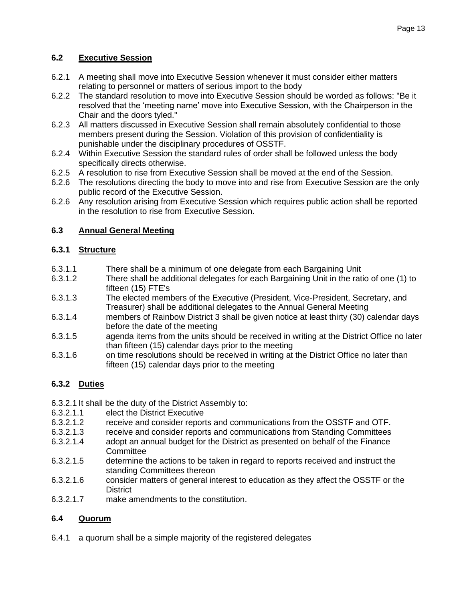### **6.2 Executive Session**

- 6.2.1 A meeting shall move into Executive Session whenever it must consider either matters relating to personnel or matters of serious import to the body
- 6.2.2 The standard resolution to move into Executive Session should be worded as follows: "Be it resolved that the 'meeting name' move into Executive Session, with the Chairperson in the Chair and the doors tyled."
- 6.2.3 All matters discussed in Executive Session shall remain absolutely confidential to those members present during the Session. Violation of this provision of confidentiality is punishable under the disciplinary procedures of OSSTF.
- 6.2.4 Within Executive Session the standard rules of order shall be followed unless the body specifically directs otherwise.
- 6.2.5 A resolution to rise from Executive Session shall be moved at the end of the Session.
- 6.2.6 The resolutions directing the body to move into and rise from Executive Session are the only public record of the Executive Session.
- 6.2.6 Any resolution arising from Executive Session which requires public action shall be reported in the resolution to rise from Executive Session.

#### **6.3 Annual General Meeting**

#### **6.3.1 Structure**

- 6.3.1.1 There shall be a minimum of one delegate from each Bargaining Unit
- 6.3.1.2 There shall be additional delegates for each Bargaining Unit in the ratio of one (1) to fifteen (15) FTE's
- 6.3.1.3 The elected members of the Executive (President, Vice-President, Secretary, and Treasurer) shall be additional delegates to the Annual General Meeting
- 6.3.1.4 members of Rainbow District 3 shall be given notice at least thirty (30) calendar days before the date of the meeting
- 6.3.1.5 agenda items from the units should be received in writing at the District Office no later than fifteen (15) calendar days prior to the meeting
- 6.3.1.6 on time resolutions should be received in writing at the District Office no later than fifteen (15) calendar days prior to the meeting

# **6.3.2 Duties**

- 6.3.2.1 It shall be the duty of the District Assembly to:
- 6.3.2.1.1 elect the District Executive
- 6.3.2.1.2 receive and consider reports and communications from the OSSTF and OTF.
- 6.3.2.1.3 receive and consider reports and communications from Standing Committees
- 6.3.2.1.4 adopt an annual budget for the District as presented on behalf of the Finance **Committee**
- 6.3.2.1.5 determine the actions to be taken in regard to reports received and instruct the standing Committees thereon
- 6.3.2.1.6 consider matters of general interest to education as they affect the OSSTF or the **District**
- 6.3.2.1.7 make amendments to the constitution.

# **6.4 Quorum**

6.4.1 a quorum shall be a simple majority of the registered delegates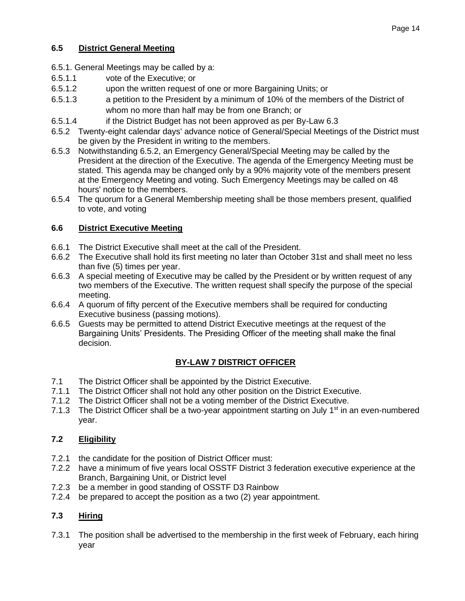# **6.5 District General Meeting**

- 6.5.1. General Meetings may be called by a:
- 6.5.1.1 vote of the Executive; or
- 6.5.1.2 upon the written request of one or more Bargaining Units; or
- 6.5.1.3 a petition to the President by a minimum of 10% of the members of the District of whom no more than half may be from one Branch; or
- 6.5.1.4 if the District Budget has not been approved as per By-Law 6.3
- 6.5.2 Twenty-eight calendar days' advance notice of General/Special Meetings of the District must be given by the President in writing to the members.
- 6.5.3 Notwithstanding 6.5.2, an Emergency General/Special Meeting may be called by the President at the direction of the Executive. The agenda of the Emergency Meeting must be stated. This agenda may be changed only by a 90% majority vote of the members present at the Emergency Meeting and voting. Such Emergency Meetings may be called on 48 hours' notice to the members.
- 6.5.4 The quorum for a General Membership meeting shall be those members present, qualified to vote, and voting

# **6.6 District Executive Meeting**

- 6.6.1 The District Executive shall meet at the call of the President.
- 6.6.2 The Executive shall hold its first meeting no later than October 31st and shall meet no less than five (5) times per year.
- 6.6.3 A special meeting of Executive may be called by the President or by written request of any two members of the Executive. The written request shall specify the purpose of the special meeting.
- 6.6.4 A quorum of fifty percent of the Executive members shall be required for conducting Executive business (passing motions).
- 6.6.5 Guests may be permitted to attend District Executive meetings at the request of the Bargaining Units' Presidents. The Presiding Officer of the meeting shall make the final decision.

# **BY-LAW 7 DISTRICT OFFICER**

- 7.1 The District Officer shall be appointed by the District Executive.
- 7.1.1 The District Officer shall not hold any other position on the District Executive.
- 7.1.2 The District Officer shall not be a voting member of the District Executive.
- 7.1.3 The District Officer shall be a two-year appointment starting on July  $1<sup>st</sup>$  in an even-numbered year.

# **7.2 Eligibility**

- 7.2.1 the candidate for the position of District Officer must:
- 7.2.2 have a minimum of five years local OSSTF District 3 federation executive experience at the Branch, Bargaining Unit, or District level
- 7.2.3 be a member in good standing of OSSTF D3 Rainbow
- 7.2.4 be prepared to accept the position as a two (2) year appointment.

# **7.3 Hiring**

7.3.1 The position shall be advertised to the membership in the first week of February, each hiring year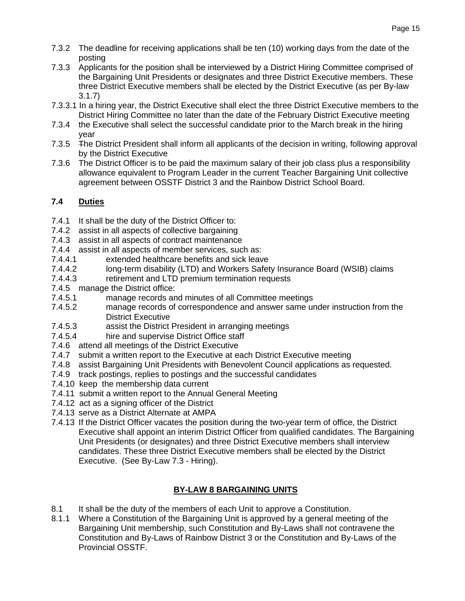- 7.3.2 The deadline for receiving applications shall be ten (10) working days from the date of the posting
- 7.3.3 Applicants for the position shall be interviewed by a District Hiring Committee comprised of the Bargaining Unit Presidents or designates and three District Executive members. These three District Executive members shall be elected by the District Executive (as per By-law 3.1.7)
- 7.3.3.1 In a hiring year, the District Executive shall elect the three District Executive members to the District Hiring Committee no later than the date of the February District Executive meeting
- 7.3.4 the Executive shall select the successful candidate prior to the March break in the hiring year
- 7.3.5 The District President shall inform all applicants of the decision in writing, following approval by the District Executive
- 7.3.6 The District Officer is to be paid the maximum salary of their job class plus a responsibility allowance equivalent to Program Leader in the current Teacher Bargaining Unit collective agreement between OSSTF District 3 and the Rainbow District School Board.

# **7.4 Duties**

- 7.4.1 It shall be the duty of the District Officer to:
- 7.4.2 assist in all aspects of collective bargaining
- 7.4.3 assist in all aspects of contract maintenance
- 7.4.4 assist in all aspects of member services, such as:
- 7.4.4.1 extended healthcare benefits and sick leave
- 7.4.4.2 long-term disability (LTD) and Workers Safety Insurance Board (WSIB) claims
- 7.4.4.3 retirement and LTD premium termination requests
- 7.4.5 manage the District office:
- 7.4.5.1 manage records and minutes of all Committee meetings
- 7.4.5.2 manage records of correspondence and answer same under instruction from the District Executive
- 7.4.5.3 assist the District President in arranging meetings
- 7.4.5.4 hire and supervise District Office staff
- 7.4.6 attend all meetings of the District Executive
- 7.4.7 submit a written report to the Executive at each District Executive meeting
- 7.4.8 assist Bargaining Unit Presidents with Benevolent Council applications as requested.
- 7.4.9 track postings, replies to postings and the successful candidates
- 7.4.10 keep the membership data current
- 7.4.11 submit a written report to the Annual General Meeting
- 7.4.12 act as a signing officer of the District
- 7.4.13 serve as a District Alternate at AMPA
- 7.4.13 If the District Officer vacates the position during the two-year term of office, the District Executive shall appoint an interim District Officer from qualified candidates. The Bargaining Unit Presidents (or designates) and three District Executive members shall interview candidates. These three District Executive members shall be elected by the District Executive. (See By-Law 7.3 - Hiring).

# **BY-LAW 8 BARGAINING UNITS**

- 8.1 It shall be the duty of the members of each Unit to approve a Constitution.
- 8.1.1 Where a Constitution of the Bargaining Unit is approved by a general meeting of the Bargaining Unit membership, such Constitution and By-Laws shall not contravene the Constitution and By-Laws of Rainbow District 3 or the Constitution and By-Laws of the Provincial OSSTF.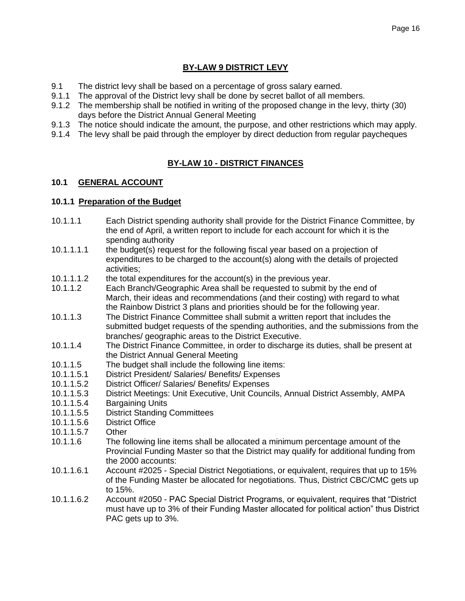# **BY-LAW 9 DISTRICT LEVY**

- 9.1 The district levy shall be based on a percentage of gross salary earned.
- 9.1.1 The approval of the District levy shall be done by secret ballot of all members.
- 9.1.2 The membership shall be notified in writing of the proposed change in the levy, thirty (30) days before the District Annual General Meeting
- 9.1.3 The notice should indicate the amount, the purpose, and other restrictions which may apply.
- 9.1.4 The levy shall be paid through the employer by direct deduction from regular paycheques

#### **BY-LAW 10 - DISTRICT FINANCES**

#### **10.1 GENERAL ACCOUNT**

#### **10.1.1 Preparation of the Budget**

- 10.1.1.1 Each District spending authority shall provide for the District Finance Committee, by the end of April, a written report to include for each account for which it is the spending authority
- 10.1.1.1.1 the budget(s) request for the following fiscal year based on a projection of expenditures to be charged to the account(s) along with the details of projected activities;
- 10.1.1.1.2 the total expenditures for the account(s) in the previous year.
- 10.1.1.2 Each Branch/Geographic Area shall be requested to submit by the end of March, their ideas and recommendations (and their costing) with regard to what the Rainbow District 3 plans and priorities should be for the following year.
- 10.1.1.3 The District Finance Committee shall submit a written report that includes the submitted budget requests of the spending authorities, and the submissions from the branches/ geographic areas to the District Executive.
- 10.1.1.4 The District Finance Committee, in order to discharge its duties, shall be present at the District Annual General Meeting
- 10.1.1.5 The budget shall include the following line items:
- 10.1.1.5.1 District President/ Salaries/ Benefits/ Expenses
- 10.1.1.5.2 District Officer/ Salaries/ Benefits/ Expenses
- 10.1.1.5.3 District Meetings: Unit Executive, Unit Councils, Annual District Assembly, AMPA
- 10.1.1.5.4 Bargaining Units
- 10.1.1.5.5 District Standing Committees
- 10.1.1.5.6 District Office
- 10.1.1.5.7 Other
- 10.1.1.6 The following line items shall be allocated a minimum percentage amount of the Provincial Funding Master so that the District may qualify for additional funding from the 2000 accounts:
- 10.1.1.6.1 Account #2025 Special District Negotiations, or equivalent, requires that up to 15% of the Funding Master be allocated for negotiations. Thus, District CBC/CMC gets up to 15%.
- 10.1.1.6.2 Account #2050 PAC Special District Programs, or equivalent, requires that "District must have up to 3% of their Funding Master allocated for political action" thus District PAC gets up to 3%.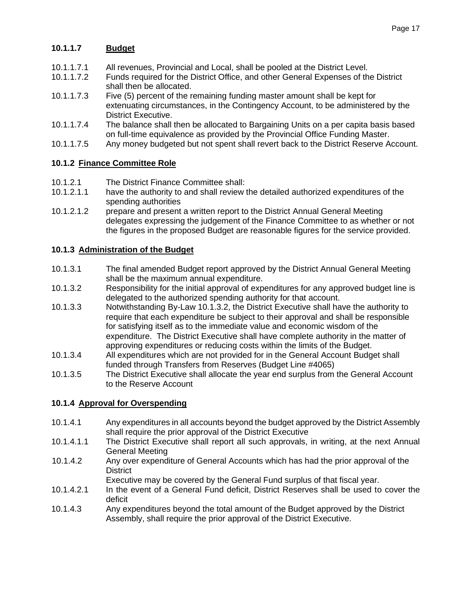# **10.1.1.7 Budget**

- 10.1.1.7.1 All revenues, Provincial and Local, shall be pooled at the District Level.
- 10.1.1.7.2 Funds required for the District Office, and other General Expenses of the District shall then be allocated.
- 10.1.1.7.3 Five (5) percent of the remaining funding master amount shall be kept for extenuating circumstances, in the Contingency Account, to be administered by the District Executive.
- 10.1.1.7.4 The balance shall then be allocated to Bargaining Units on a per capita basis based on full-time equivalence as provided by the Provincial Office Funding Master.
- 10.1.1.7.5 Any money budgeted but not spent shall revert back to the District Reserve Account.

# **10.1.2 Finance Committee Role**

- 10.1.2.1 The District Finance Committee shall:
- 10.1.2.1.1 have the authority to and shall review the detailed authorized expenditures of the spending authorities
- 10.1.2.1.2 prepare and present a written report to the District Annual General Meeting delegates expressing the judgement of the Finance Committee to as whether or not the figures in the proposed Budget are reasonable figures for the service provided.

#### **10.1.3 Administration of the Budget**

- 10.1.3.1 The final amended Budget report approved by the District Annual General Meeting shall be the maximum annual expenditure.
- 10.1.3.2 Responsibility for the initial approval of expenditures for any approved budget line is delegated to the authorized spending authority for that account.
- 10.1.3.3 Notwithstanding By-Law 10.1.3.2, the District Executive shall have the authority to require that each expenditure be subject to their approval and shall be responsible for satisfying itself as to the immediate value and economic wisdom of the expenditure. The District Executive shall have complete authority in the matter of approving expenditures or reducing costs within the limits of the Budget.
- 10.1.3.4 All expenditures which are not provided for in the General Account Budget shall funded through Transfers from Reserves (Budget Line #4065)
- 10.1.3.5 The District Executive shall allocate the year end surplus from the General Account to the Reserve Account

# **10.1.4 Approval for Overspending**

- 10.1.4.1 Any expenditures in all accounts beyond the budget approved by the District Assembly shall require the prior approval of the District Executive
- 10.1.4.1.1 The District Executive shall report all such approvals, in writing, at the next Annual General Meeting
- 10.1.4.2 Any over expenditure of General Accounts which has had the prior approval of the **District** 
	- Executive may be covered by the General Fund surplus of that fiscal year.
- 10.1.4.2.1 In the event of a General Fund deficit, District Reserves shall be used to cover the deficit
- 10.1.4.3 Any expenditures beyond the total amount of the Budget approved by the District Assembly, shall require the prior approval of the District Executive.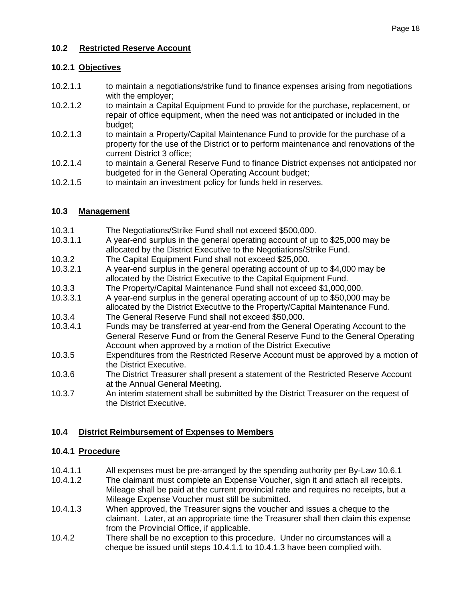#### **10.2 Restricted Reserve Account**

#### **10.2.1 Objectives**

- 10.2.1.1 to maintain a negotiations/strike fund to finance expenses arising from negotiations with the employer;
- 10.2.1.2 to maintain a Capital Equipment Fund to provide for the purchase, replacement, or repair of office equipment, when the need was not anticipated or included in the budget;
- 10.2.1.3 to maintain a Property/Capital Maintenance Fund to provide for the purchase of a property for the use of the District or to perform maintenance and renovations of the current District 3 office;
- 10.2.1.4 to maintain a General Reserve Fund to finance District expenses not anticipated nor budgeted for in the General Operating Account budget;
- 10.2.1.5 to maintain an investment policy for funds held in reserves.

#### **10.3 Management**

- 10.3.1 The Negotiations/Strike Fund shall not exceed \$500,000.
- 10.3.1.1 A year-end surplus in the general operating account of up to \$25,000 may be allocated by the District Executive to the Negotiations/Strike Fund.
- 10.3.2 The Capital Equipment Fund shall not exceed \$25,000.
- 10.3.2.1 A year-end surplus in the general operating account of up to \$4,000 may be allocated by the District Executive to the Capital Equipment Fund.
- 10.3.3 The Property/Capital Maintenance Fund shall not exceed \$1,000,000.
- 10.3.3.1 A year-end surplus in the general operating account of up to \$50,000 may be allocated by the District Executive to the Property/Capital Maintenance Fund.
- 10.3.4 The General Reserve Fund shall not exceed \$50,000.
- 10.3.4.1 Funds may be transferred at year-end from the General Operating Account to the General Reserve Fund or from the General Reserve Fund to the General Operating Account when approved by a motion of the District Executive
- 10.3.5 Expenditures from the Restricted Reserve Account must be approved by a motion of the District Executive.
- 10.3.6 The District Treasurer shall present a statement of the Restricted Reserve Account at the Annual General Meeting.
- 10.3.7 An interim statement shall be submitted by the District Treasurer on the request of the District Executive.

# **10.4 District Reimbursement of Expenses to Members**

#### **10.4.1 Procedure**

- 10.4.1.1 All expenses must be pre-arranged by the spending authority per By-Law 10.6.1
- 10.4.1.2 The claimant must complete an Expense Voucher, sign it and attach all receipts. Mileage shall be paid at the current provincial rate and requires no receipts, but a Mileage Expense Voucher must still be submitted.
- 10.4.1.3 When approved, the Treasurer signs the voucher and issues a cheque to the claimant. Later, at an appropriate time the Treasurer shall then claim this expense from the Provincial Office, if applicable.
- 10.4.2 There shall be no exception to this procedure. Under no circumstances will a cheque be issued until steps 10.4.1.1 to 10.4.1.3 have been complied with.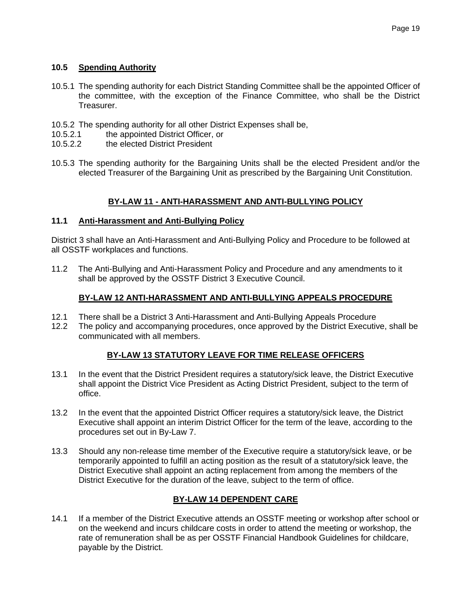#### **10.5 Spending Authority**

- 10.5.1 The spending authority for each District Standing Committee shall be the appointed Officer of the committee, with the exception of the Finance Committee, who shall be the District Treasurer.
- 10.5.2 The spending authority for all other District Expenses shall be,
- 10.5.2.1 the appointed District Officer, or
- 10.5.2.2 the elected District President
- 10.5.3 The spending authority for the Bargaining Units shall be the elected President and/or the elected Treasurer of the Bargaining Unit as prescribed by the Bargaining Unit Constitution.

# **BY-LAW 11 - ANTI-HARASSMENT AND ANTI-BULLYING POLICY**

#### **11.1 Anti-Harassment and Anti-Bullying Policy**

District 3 shall have an Anti-Harassment and Anti-Bullying Policy and Procedure to be followed at all OSSTF workplaces and functions.

11.2 The Anti-Bullying and Anti-Harassment Policy and Procedure and any amendments to it shall be approved by the OSSTF District 3 Executive Council.

# **BY-LAW 12 ANTI-HARASSMENT AND ANTI-BULLYING APPEALS PROCEDURE**

- 12.1 There shall be a District 3 Anti-Harassment and Anti-Bullying Appeals Procedure
- 12.2 The policy and accompanying procedures, once approved by the District Executive, shall be communicated with all members.

# **BY-LAW 13 STATUTORY LEAVE FOR TIME RELEASE OFFICERS**

- 13.1 In the event that the District President requires a statutory/sick leave, the District Executive shall appoint the District Vice President as Acting District President, subject to the term of office.
- 13.2 In the event that the appointed District Officer requires a statutory/sick leave, the District Executive shall appoint an interim District Officer for the term of the leave, according to the procedures set out in By-Law 7.
- 13.3 Should any non-release time member of the Executive require a statutory/sick leave, or be temporarily appointed to fulfill an acting position as the result of a statutory/sick leave, the District Executive shall appoint an acting replacement from among the members of the District Executive for the duration of the leave, subject to the term of office.

# **BY-LAW 14 DEPENDENT CARE**

14.1 If a member of the District Executive attends an OSSTF meeting or workshop after school or on the weekend and incurs childcare costs in order to attend the meeting or workshop, the rate of remuneration shall be as per OSSTF Financial Handbook Guidelines for childcare, payable by the District.